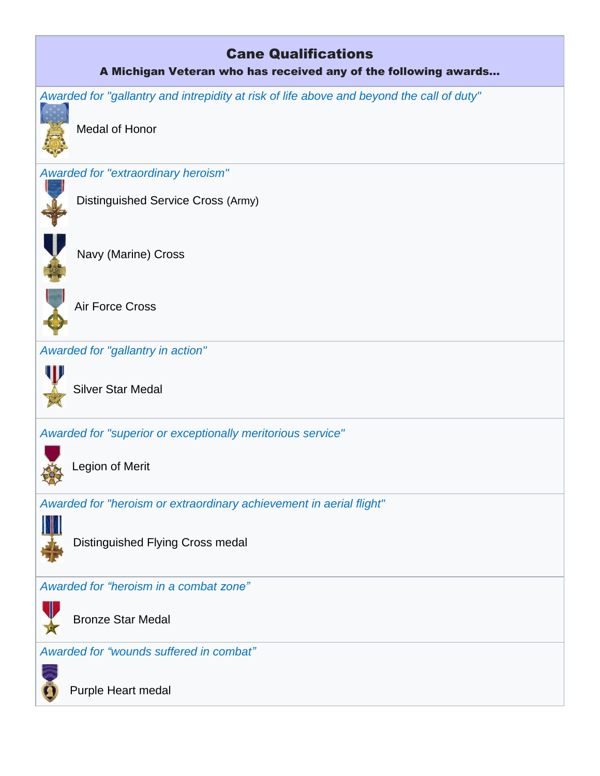## Cane Qualifications A Michigan Veteran who has received any of the following awards… *Awarded for "gallantry and intrepidity at risk of life above and beyond the call of duty"* [Medal of Honor](https://en.wikipedia.org/wiki/Medal_of_Honor) *Awarded for "extraordinary heroism"*  [Distinguished Service Cross](https://en.wikipedia.org/wiki/Distinguished_Service_Cross_(United_States)) (Army)  $\overline{\phantom{a}}$  [Navy \(Marine\) Cross](https://en.wikipedia.org/wiki/Navy_Cross_(United_States)) I [Air Force Cross](https://en.wikipedia.org/wiki/Air_Force_Cross_(United_States)) *Awarded for "gallantry in action"* [Silver Star Medal](https://en.wikipedia.org/wiki/Silver_Star_Medal) *Awarded for "superior or exceptionally meritorious service"* [Legion of Merit](https://en.wikipedia.org/wiki/Legion_of_Merit) *Awarded for "heroism or extraordinary achievement in aerial flight"* I Distinguished Flying Cross medal *Awarded for "heroism in a combat zone"* [Bronze Star Medal](https://en.wikipedia.org/wiki/Bronze_Star_Medal)

*Awarded for "wounds suffered in combat"*



[Purple Heart](https://en.wikipedia.org/wiki/Purple_Heart) medal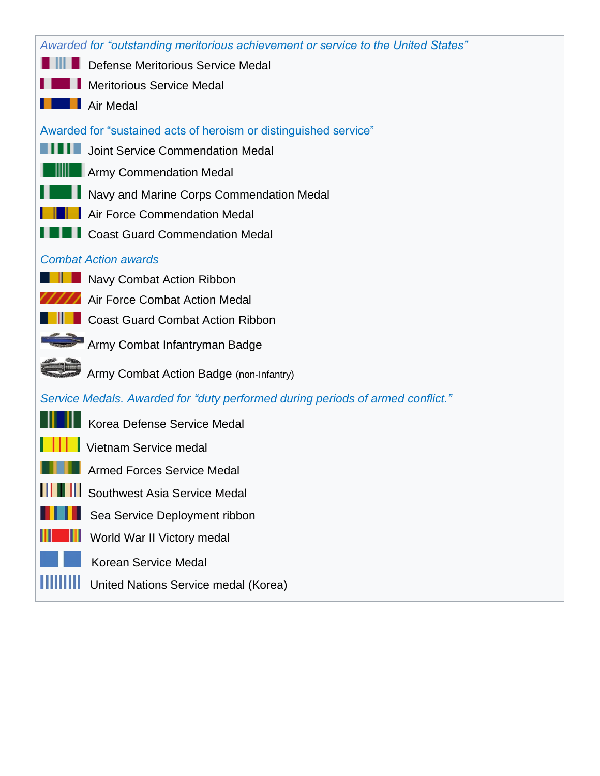| Awarded for "outstanding meritorious achievement or service to the United States" |  |
|-----------------------------------------------------------------------------------|--|
|                                                                                   |  |
| <b>III Defense Meritorious Service Medal</b>                                      |  |
| <b>Meritorious Service Medal</b>                                                  |  |
| Air Medal                                                                         |  |
| Awarded for "sustained acts of heroism or distinguished service"                  |  |
| Joint Service Commendation Medal                                                  |  |
| Army Commendation Medal                                                           |  |
| Navy and Marine Corps Commendation Medal                                          |  |
| Air Force Commendation Medal                                                      |  |
| <b>Coast Guard Commendation Medal</b>                                             |  |
| <b>Combat Action awards</b>                                                       |  |
| Navy Combat Action Ribbon                                                         |  |
| Air Force Combat Action Medal                                                     |  |
| <b>Coast Guard Combat Action Ribbon</b>                                           |  |
| Army Combat Infantryman Badge                                                     |  |
| Army Combat Action Badge (non-Infantry)                                           |  |
| Service Medals. Awarded for "duty performed during periods of armed conflict."    |  |
| Korea Defense Service Medal                                                       |  |
| Vietnam Service medal                                                             |  |
| <b>Armed Forces Service Medal</b>                                                 |  |
| Southwest Asia Service Medal                                                      |  |
| Sea Service Deployment ribbon                                                     |  |
| World War II Victory medal                                                        |  |
| <b>Korean Service Medal</b>                                                       |  |
| United Nations Service medal (Korea)                                              |  |